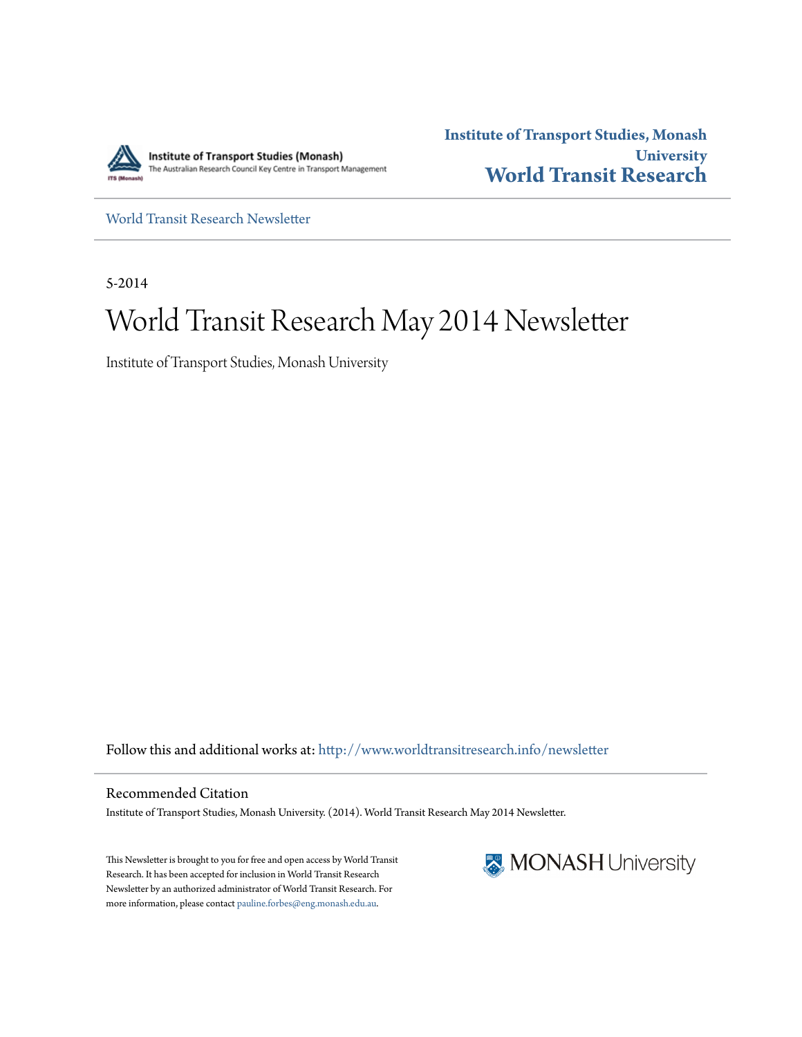

**Institute of Transport Studies, Monash University [World Transit Research](http://www.worldtransitresearch.info?utm_source=www.worldtransitresearch.info%2Fnewsletter%2F24&utm_medium=PDF&utm_campaign=PDFCoverPages)**

[World Transit Research Newsletter](http://www.worldtransitresearch.info/newsletter?utm_source=www.worldtransitresearch.info%2Fnewsletter%2F24&utm_medium=PDF&utm_campaign=PDFCoverPages)

5-2014

# World Transit Research May 2014 Newsletter

Institute of Transport Studies, Monash University

Follow this and additional works at: [http://www.worldtransitresearch.info/newsletter](http://www.worldtransitresearch.info/newsletter?utm_source=www.worldtransitresearch.info%2Fnewsletter%2F24&utm_medium=PDF&utm_campaign=PDFCoverPages)

Recommended Citation Institute of Transport Studies, Monash University. (2014). World Transit Research May 2014 Newsletter.

This Newsletter is brought to you for free and open access by World Transit Research. It has been accepted for inclusion in World Transit Research Newsletter by an authorized administrator of World Transit Research. For more information, please contact [pauline.forbes@eng.monash.edu.au](mailto:pauline.forbes@eng.monash.edu.au).

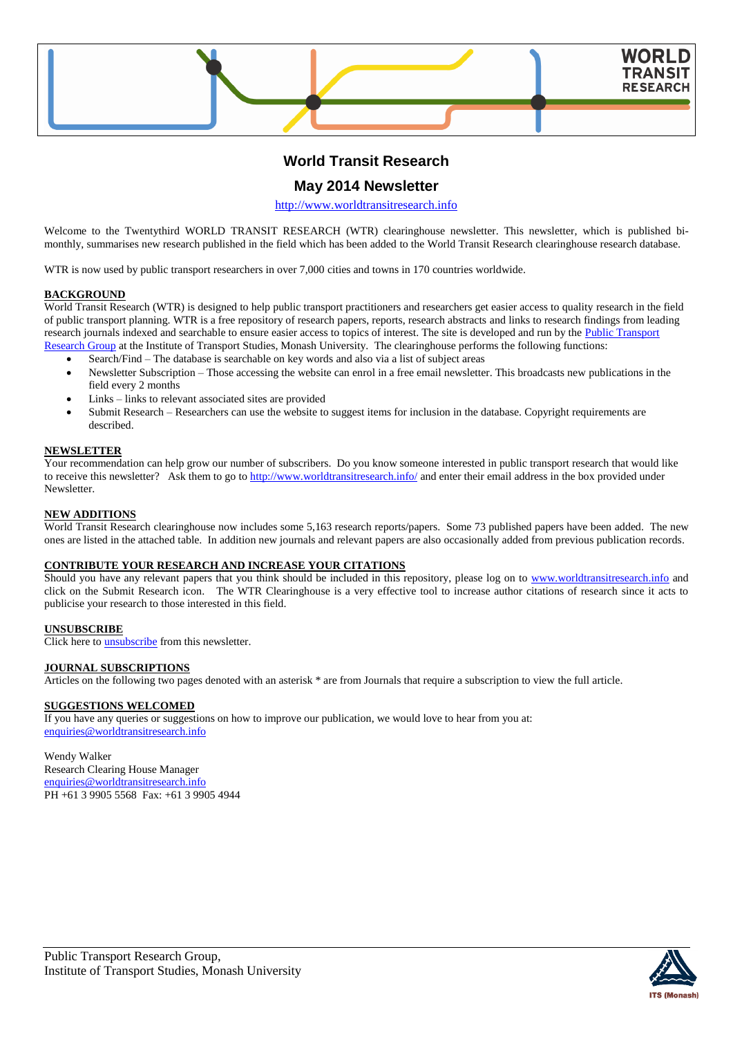

# **World Transit Research**

# **May 2014 Newsletter**

[http://www.worldtransitresearch.info](http://www.worldtransitresearch.info/)

Welcome to the Twentythird WORLD TRANSIT RESEARCH (WTR) clearinghouse newsletter. This newsletter, which is published bimonthly, summarises new research published in the field which has been added to the World Transit Research clearinghouse research database.

WTR is now used by public transport researchers in over 7,000 cities and towns in 170 countries worldwide.

### **BACKGROUND**

World Transit Research (WTR) is designed to help public transport practitioners and researchers get easier access to quality research in the field of public transport planning. WTR is a free repository of research papers, reports, research abstracts and links to research findings from leading research journals indexed and searchable to ensure easier access to topics of interest. The site is developed and run by the Public Transport [Research Group](http://eng.monash.edu.au/civil/research/centres/its/research-activities/public-transport-planning.html) at the Institute of Transport Studies, Monash University. The clearinghouse performs the following functions:

- Search/Find The database is searchable on key words and also via a list of subject areas
- Newsletter Subscription Those accessing the website can enrol in a free email newsletter. This broadcasts new publications in the field every 2 months
- Links links to relevant associated sites are provided
- Submit Research Researchers can use the website to suggest items for inclusion in the database. Copyright requirements are described.

#### **NEWSLETTER**

Your recommendation can help grow our number of subscribers. Do you know someone interested in public transport research that would like to receive this newsletter? Ask them to go to<http://www.worldtransitresearch.info/> and enter their email address in the box provided under **Newsletter** 

#### **NEW ADDITIONS**

World Transit Research clearinghouse now includes some 5,163 research reports/papers. Some 73 published papers have been added. The new ones are listed in the attached table. In addition new journals and relevant papers are also occasionally added from previous publication records.

#### **CONTRIBUTE YOUR RESEARCH AND INCREASE YOUR CITATIONS**

Should you have any relevant papers that you think should be included in this repository, please log on to [www.worldtransitresearch.info](http://www.worldtransitresearch.info/) and click on the Submit Research icon. The WTR Clearinghouse is a very effective tool to increase author citations of research since it acts to publicise your research to those interested in this field.

# **UNSUBSCRIBE**

Click here to **unsubscribe** from this newsletter.

#### **JOURNAL SUBSCRIPTIONS**

Articles on the following two pages denoted with an asterisk \* are from Journals that require a subscription to view the full article.

## **SUGGESTIONS WELCOMED**

If you have any queries or suggestions on how to improve our publication, we would love to hear from you at: [enquiries@worldtransitresearch.info](mailto:enquiries@worldtransitresearch.info)

#### Wendy Walker Research Clearing House Manager [enquiries@worldtransitresearch.info](mailto:enquiries@worldtransitresearch.info)

PH +61 3 9905 5568 Fax: +61 3 9905 4944

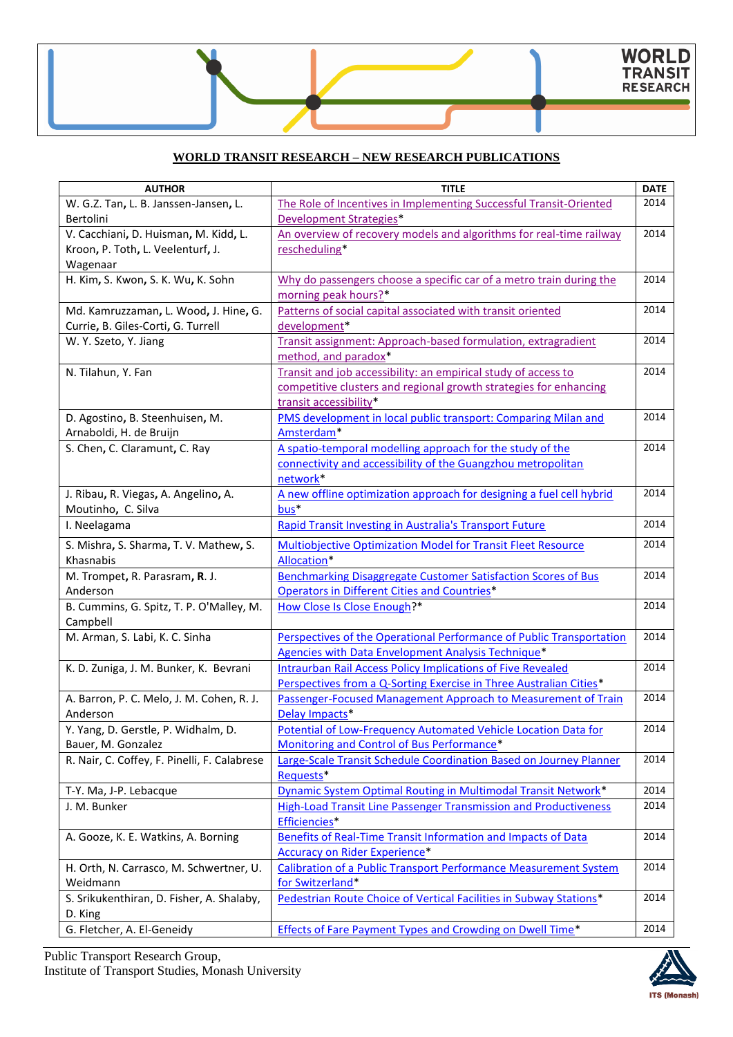# **WORLD TRANSIT RESEARCH – NEW RESEARCH PUBLICATIONS**

| 2014<br>W. G.Z. Tan, L. B. Janssen-Jansen, L.<br>The Role of Incentives in Implementing Successful Transit-Oriented<br>Development Strategies*<br>Bertolini<br>V. Cacchiani, D. Huisman, M. Kidd, L.<br>An overview of recovery models and algorithms for real-time railway<br>2014<br>Kroon, P. Toth, L. Veelenturf, J.<br>rescheduling*<br>Wagenaar |
|-------------------------------------------------------------------------------------------------------------------------------------------------------------------------------------------------------------------------------------------------------------------------------------------------------------------------------------------------------|
|                                                                                                                                                                                                                                                                                                                                                       |
|                                                                                                                                                                                                                                                                                                                                                       |
|                                                                                                                                                                                                                                                                                                                                                       |
|                                                                                                                                                                                                                                                                                                                                                       |
|                                                                                                                                                                                                                                                                                                                                                       |
| H. Kim, S. Kwon, S. K. Wu, K. Sohn<br>2014<br>Why do passengers choose a specific car of a metro train during the                                                                                                                                                                                                                                     |
| morning peak hours?*                                                                                                                                                                                                                                                                                                                                  |
| 2014<br>Patterns of social capital associated with transit oriented<br>Md. Kamruzzaman, L. Wood, J. Hine, G.                                                                                                                                                                                                                                          |
| development*<br>Currie, B. Giles-Corti, G. Turrell                                                                                                                                                                                                                                                                                                    |
| Transit assignment: Approach-based formulation, extragradient<br>2014<br>W. Y. Szeto, Y. Jiang                                                                                                                                                                                                                                                        |
| method, and paradox*                                                                                                                                                                                                                                                                                                                                  |
| 2014<br>Transit and job accessibility: an empirical study of access to<br>N. Tilahun, Y. Fan                                                                                                                                                                                                                                                          |
| competitive clusters and regional growth strategies for enhancing                                                                                                                                                                                                                                                                                     |
| transit accessibility*                                                                                                                                                                                                                                                                                                                                |
| PMS development in local public transport: Comparing Milan and<br>2014<br>D. Agostino, B. Steenhuisen, M.                                                                                                                                                                                                                                             |
| Arnaboldi, H. de Bruijn<br>Amsterdam*                                                                                                                                                                                                                                                                                                                 |
| A spatio-temporal modelling approach for the study of the<br>S. Chen, C. Claramunt, C. Ray<br>2014                                                                                                                                                                                                                                                    |
| connectivity and accessibility of the Guangzhou metropolitan                                                                                                                                                                                                                                                                                          |
| network*                                                                                                                                                                                                                                                                                                                                              |
| J. Ribau, R. Viegas, A. Angelino, A.<br>A new offline optimization approach for designing a fuel cell hybrid<br>2014                                                                                                                                                                                                                                  |
| bus*<br>Moutinho, C. Silva                                                                                                                                                                                                                                                                                                                            |
| 2014<br>I. Neelagama<br><b>Rapid Transit Investing in Australia's Transport Future</b>                                                                                                                                                                                                                                                                |
| 2014<br>S. Mishra, S. Sharma, T. V. Mathew, S.<br><b>Multiobjective Optimization Model for Transit Fleet Resource</b>                                                                                                                                                                                                                                 |
| Allocation*<br>Khasnabis                                                                                                                                                                                                                                                                                                                              |
| 2014<br>M. Trompet, R. Parasram, R. J.<br><b>Benchmarking Disaggregate Customer Satisfaction Scores of Bus</b>                                                                                                                                                                                                                                        |
| Operators in Different Cities and Countries*<br>Anderson                                                                                                                                                                                                                                                                                              |
| B. Cummins, G. Spitz, T. P. O'Malley, M.<br>How Close Is Close Enough?*<br>2014                                                                                                                                                                                                                                                                       |
| Campbell                                                                                                                                                                                                                                                                                                                                              |
| Perspectives of the Operational Performance of Public Transportation<br>2014<br>M. Arman, S. Labi, K. C. Sinha                                                                                                                                                                                                                                        |
| Agencies with Data Envelopment Analysis Technique*                                                                                                                                                                                                                                                                                                    |
| <b>Intraurban Rail Access Policy Implications of Five Revealed</b><br>2014<br>K. D. Zuniga, J. M. Bunker, K. Bevrani                                                                                                                                                                                                                                  |
| Perspectives from a Q-Sorting Exercise in Three Australian Cities*                                                                                                                                                                                                                                                                                    |
| A. Barron, P. C. Melo, J. M. Cohen, R. J.<br>Passenger-Focused Management Approach to Measurement of Train<br>2014                                                                                                                                                                                                                                    |
| Delay Impacts*<br>Anderson                                                                                                                                                                                                                                                                                                                            |
| 2014<br>Y. Yang, D. Gerstle, P. Widhalm, D.<br>Potential of Low-Frequency Automated Vehicle Location Data for                                                                                                                                                                                                                                         |
| Monitoring and Control of Bus Performance*<br>Bauer, M. Gonzalez                                                                                                                                                                                                                                                                                      |
| R. Nair, C. Coffey, F. Pinelli, F. Calabrese<br>Large-Scale Transit Schedule Coordination Based on Journey Planner<br>2014                                                                                                                                                                                                                            |
| Requests*                                                                                                                                                                                                                                                                                                                                             |
| <b>Dynamic System Optimal Routing in Multimodal Transit Network*</b><br>2014<br>T-Y. Ma, J-P. Lebacque                                                                                                                                                                                                                                                |
| 2014<br>J. M. Bunker<br><b>High-Load Transit Line Passenger Transmission and Productiveness</b>                                                                                                                                                                                                                                                       |
| Efficiencies*                                                                                                                                                                                                                                                                                                                                         |
| Benefits of Real-Time Transit Information and Impacts of Data<br>2014<br>A. Gooze, K. E. Watkins, A. Borning                                                                                                                                                                                                                                          |
| Accuracy on Rider Experience*                                                                                                                                                                                                                                                                                                                         |
| H. Orth, N. Carrasco, M. Schwertner, U.<br><b>Calibration of a Public Transport Performance Measurement System</b><br>2014                                                                                                                                                                                                                            |
| for Switzerland*<br>Weidmann                                                                                                                                                                                                                                                                                                                          |
| 2014<br>S. Srikukenthiran, D. Fisher, A. Shalaby,<br>Pedestrian Route Choice of Vertical Facilities in Subway Stations*                                                                                                                                                                                                                               |
| D. King                                                                                                                                                                                                                                                                                                                                               |
| <b>Effects of Fare Payment Types and Crowding on Dwell Time*</b><br>2014<br>G. Fletcher, A. El-Geneidy                                                                                                                                                                                                                                                |

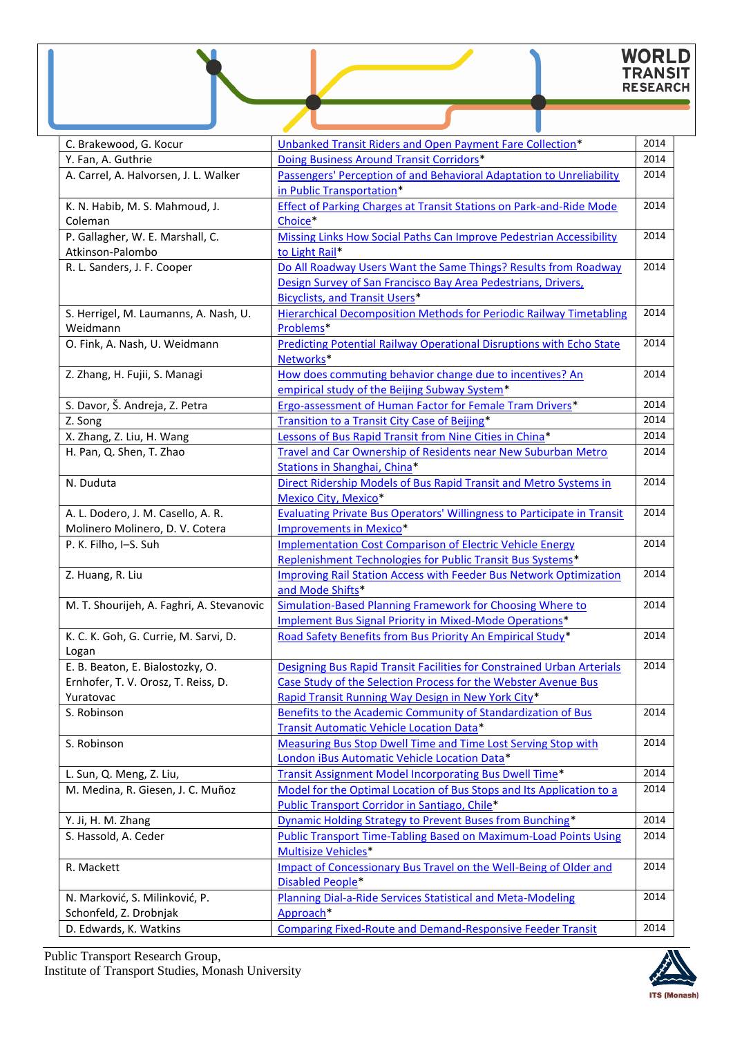# WORLD<br>TRANSIT<br>RESEARCH

| C. Brakewood, G. Kocur                    | Unbanked Transit Riders and Open Payment Fare Collection*                   | 2014 |
|-------------------------------------------|-----------------------------------------------------------------------------|------|
| Y. Fan, A. Guthrie                        | Doing Business Around Transit Corridors*                                    | 2014 |
| A. Carrel, A. Halvorsen, J. L. Walker     | Passengers' Perception of and Behavioral Adaptation to Unreliability        | 2014 |
|                                           | in Public Transportation*                                                   |      |
| K. N. Habib, M. S. Mahmoud, J.            | <b>Effect of Parking Charges at Transit Stations on Park-and-Ride Mode</b>  | 2014 |
| Coleman                                   | Choice*                                                                     |      |
| P. Gallagher, W. E. Marshall, C.          | Missing Links How Social Paths Can Improve Pedestrian Accessibility         | 2014 |
| Atkinson-Palombo                          | to Light Rail*                                                              |      |
| R. L. Sanders, J. F. Cooper               | Do All Roadway Users Want the Same Things? Results from Roadway             | 2014 |
|                                           | Design Survey of San Francisco Bay Area Pedestrians, Drivers,               |      |
|                                           | <b>Bicyclists, and Transit Users*</b>                                       |      |
| S. Herrigel, M. Laumanns, A. Nash, U.     | <b>Hierarchical Decomposition Methods for Periodic Railway Timetabling</b>  | 2014 |
| Weidmann                                  | Problems*                                                                   |      |
| O. Fink, A. Nash, U. Weidmann             | <b>Predicting Potential Railway Operational Disruptions with Echo State</b> | 2014 |
|                                           | Networks*                                                                   |      |
| Z. Zhang, H. Fujii, S. Managi             | How does commuting behavior change due to incentives? An                    | 2014 |
|                                           | empirical study of the Beijing Subway System*                               |      |
| S. Davor, Š. Andreja, Z. Petra            | Ergo-assessment of Human Factor for Female Tram Drivers*                    | 2014 |
| Z. Song                                   | Transition to a Transit City Case of Beijing*                               | 2014 |
| X. Zhang, Z. Liu, H. Wang                 | Lessons of Bus Rapid Transit from Nine Cities in China*                     | 2014 |
| H. Pan, Q. Shen, T. Zhao                  | <b>Travel and Car Ownership of Residents near New Suburban Metro</b>        | 2014 |
|                                           | Stations in Shanghai, China*                                                |      |
| N. Duduta                                 | Direct Ridership Models of Bus Rapid Transit and Metro Systems in           | 2014 |
|                                           | <b>Mexico City, Mexico*</b>                                                 |      |
| A. L. Dodero, J. M. Casello, A. R.        | Evaluating Private Bus Operators' Willingness to Participate in Transit     | 2014 |
| Molinero Molinero, D. V. Cotera           | <b>Improvements in Mexico*</b>                                              |      |
| P. K. Filho, I-S. Suh                     | <b>Implementation Cost Comparison of Electric Vehicle Energy</b>            | 2014 |
|                                           | Replenishment Technologies for Public Transit Bus Systems*                  |      |
| Z. Huang, R. Liu                          | <b>Improving Rail Station Access with Feeder Bus Network Optimization</b>   | 2014 |
|                                           | and Mode Shifts*                                                            |      |
| M. T. Shourijeh, A. Faghri, A. Stevanovic | Simulation-Based Planning Framework for Choosing Where to                   | 2014 |
|                                           | Implement Bus Signal Priority in Mixed-Mode Operations*                     |      |
| K. C. K. Goh, G. Currie, M. Sarvi, D.     | Road Safety Benefits from Bus Priority An Empirical Study*                  | 2014 |
| Logan                                     |                                                                             |      |
| E. B. Beaton, E. Bialostozky, O.          | Designing Bus Rapid Transit Facilities for Constrained Urban Arterials      | 2014 |
| Ernhofer, T. V. Orosz, T. Reiss, D.       | Case Study of the Selection Process for the Webster Avenue Bus              |      |
| Yuratovac                                 | Rapid Transit Running Way Design in New York City*                          |      |
| S. Robinson                               | Benefits to the Academic Community of Standardization of Bus                | 2014 |
|                                           | Transit Automatic Vehicle Location Data*                                    |      |
| S. Robinson                               | Measuring Bus Stop Dwell Time and Time Lost Serving Stop with               | 2014 |
|                                           | London iBus Automatic Vehicle Location Data*                                |      |
| L. Sun, Q. Meng, Z. Liu,                  | Transit Assignment Model Incorporating Bus Dwell Time*                      | 2014 |
| M. Medina, R. Giesen, J. C. Muñoz         | Model for the Optimal Location of Bus Stops and Its Application to a        | 2014 |
|                                           | Public Transport Corridor in Santiago, Chile*                               |      |
| Y. Ji, H. M. Zhang                        | <b>Dynamic Holding Strategy to Prevent Buses from Bunching*</b>             | 2014 |
| S. Hassold, A. Ceder                      | <b>Public Transport Time-Tabling Based on Maximum-Load Points Using</b>     | 2014 |
|                                           | Multisize Vehicles*                                                         |      |
| R. Mackett                                | Impact of Concessionary Bus Travel on the Well-Being of Older and           | 2014 |
|                                           | <b>Disabled People*</b>                                                     |      |
| N. Marković, S. Milinković, P.            | Planning Dial-a-Ride Services Statistical and Meta-Modeling                 | 2014 |
| Schonfeld, Z. Drobnjak                    | Approach*                                                                   |      |
| D. Edwards, K. Watkins                    | <b>Comparing Fixed-Route and Demand-Responsive Feeder Transit</b>           | 2014 |